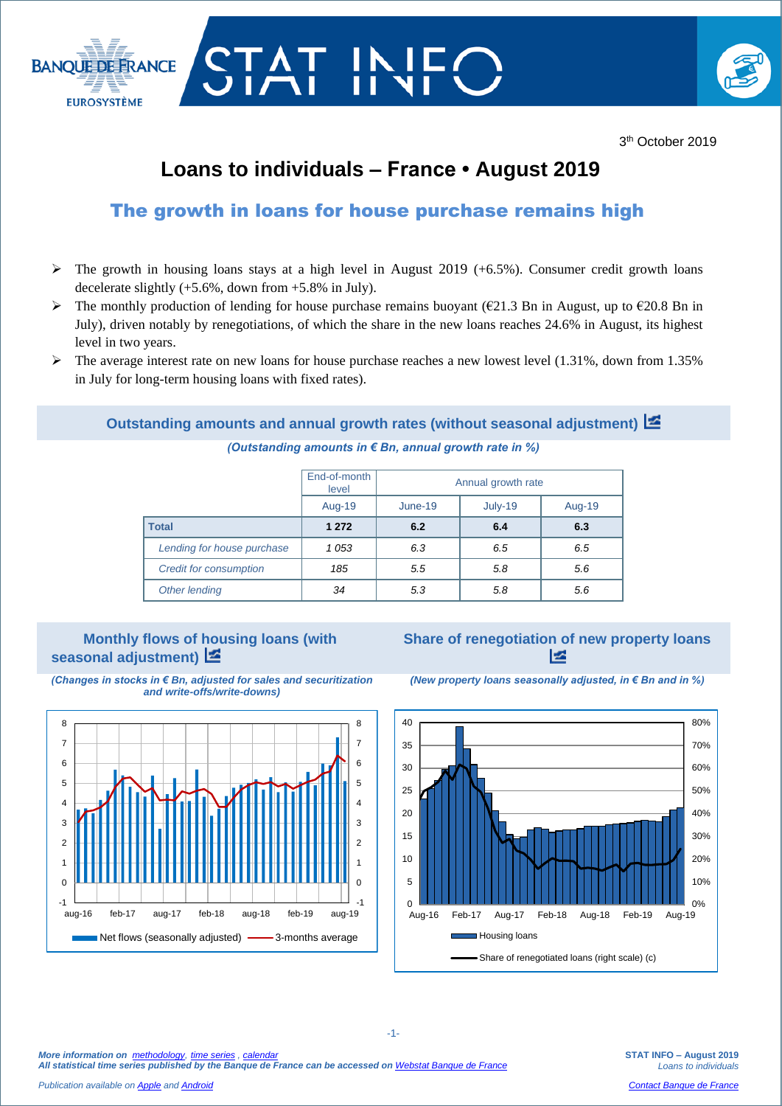

# **Loans to individuals – France • August 2019**

## The growth in loans for house purchase remains high

- $\triangleright$  The growth in housing loans stays at a high level in August 2019 (+6.5%). Consumer credit growth loans decelerate slightly  $(+5.6\%$ , down from  $+5.8\%$  in July).
- The monthly production of lending for house purchase remains buoyant ( $\epsilon$ 21.3 Bn in August, up to  $\epsilon$ 20.8 Bn in July), driven notably by renegotiations, of which the share in the new loans reaches 24.6% in August, its highest level in two years.
- $\triangleright$  The average interest rate on new loans for house purchase reaches a new lowest level (1.31%, down from 1.35%) in July for long-term housing loans with fixed rates).

### **Outstanding amounts and annual growth rates (without seasonal adjustment)**

*(Outstanding amounts in € Bn, annual growth rate in %)*

|                               | End-of-month<br>level | Annual growth rate |         |        |  |  |
|-------------------------------|-----------------------|--------------------|---------|--------|--|--|
|                               | Aug-19                | June-19            | July-19 | Aug-19 |  |  |
| <b>Total</b>                  | 1 2 7 2               | 6.2                | 6.4     | 6.3    |  |  |
| Lending for house purchase    | 1053                  | 6.3                | 6.5     | 6.5    |  |  |
| <b>Credit for consumption</b> | 185                   | 5.5                | 5.8     | 5.6    |  |  |
| Other lending                 | 34                    | 5.3                | 5.8     | 5.6    |  |  |

#### **Monthly flows of housing loans (with seasonal adjustment)**





**Share of renegotiation of new property loans**  E



*(New property loans seasonally adjusted, in € Bn and in %)*

*More information on [methodology,](https://www.banque-france.fr/en/statistics/access-series/methodologies) [time series](http://webstat.banque-france.fr/en/browse.do?node=5384775) [, calendar](https://www.banque-france.fr/en/statistics/calendar)*

*All statistical time series published by the Banque de France can be accessed on [Webstat Banque de France](http://webstat.banque-france.fr/en/)*